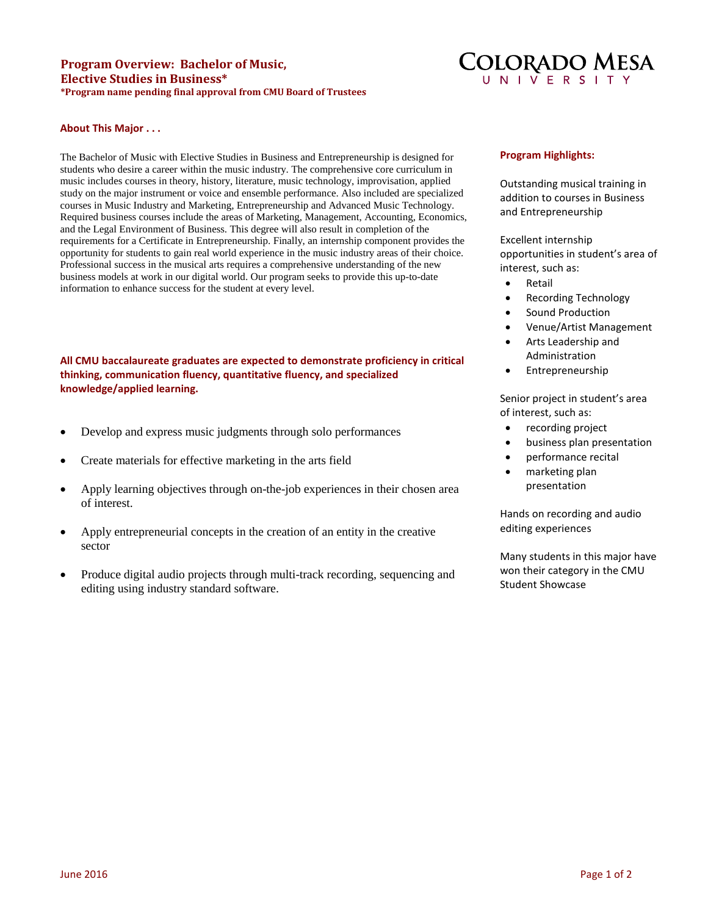# **Program Overview: Bachelor of Music, Elective Studies in Business\* \*Program name pending final approval from CMU Board of Trustees**



### **About This Major . . .**

The Bachelor of Music with Elective Studies in Business and Entrepreneurship is designed for students who desire a career within the music industry. The comprehensive core curriculum in music includes courses in theory, history, literature, music technology, improvisation, applied study on the major instrument or voice and ensemble performance. Also included are specialized courses in Music Industry and Marketing, Entrepreneurship and Advanced Music Technology. Required business courses include the areas of Marketing, Management, Accounting, Economics, and the Legal Environment of Business. This degree will also result in completion of the requirements for a Certificate in Entrepreneurship. Finally, an internship component provides the opportunity for students to gain real world experience in the music industry areas of their choice. Professional success in the musical arts requires a comprehensive understanding of the new business models at work in our digital world. Our program seeks to provide this up-to-date information to enhance success for the student at every level.

**All CMU baccalaureate graduates are expected to demonstrate proficiency in critical thinking, communication fluency, quantitative fluency, and specialized knowledge/applied learning.** 

- Develop and express music judgments through solo performances
- Create materials for effective marketing in the arts field
- Apply learning objectives through on-the-job experiences in their chosen area of interest.
- Apply entrepreneurial concepts in the creation of an entity in the creative sector
- Produce digital audio projects through multi-track recording, sequencing and editing using industry standard software.

## **Program Highlights:**

Outstanding musical training in addition to courses in Business and Entrepreneurship

Excellent internship opportunities in student's area of interest, such as:

- **Retail**
- Recording Technology
- Sound Production
- Venue/Artist Management
- Arts Leadership and Administration
- Entrepreneurship

Senior project in student's area of interest, such as:

- recording project
- business plan presentation
- performance recital
- marketing plan presentation

Hands on recording and audio editing experiences

Many students in this major have won their category in the CMU Student Showcase